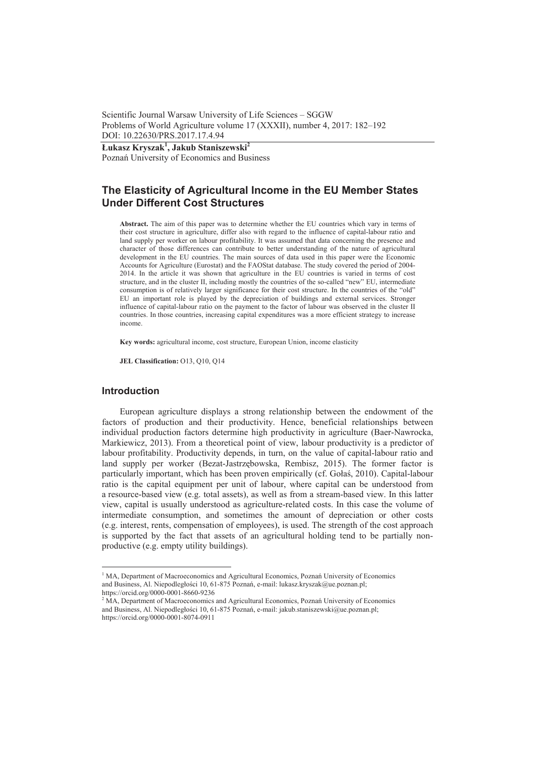Scientific Journal Warsaw University of Life Sciences – SGGW Problems of World Agriculture volume 17 (XXXII), number 4, 2017: 182–192 DOI: 10.22630/PRS.2017.17.4.94

**àukasz Kryszak<sup>1</sup> , Jakub Staniszewski<sup>2</sup>** Poznań University of Economics and Business

# **The Elasticity of Agricultural Income in the EU Member States Under Different Cost Structures**

**Abstract.** The aim of this paper was to determine whether the EU countries which vary in terms of their cost structure in agriculture, differ also with regard to the influence of capital-labour ratio and land supply per worker on labour profitability. It was assumed that data concerning the presence and character of those differences can contribute to better understanding of the nature of agricultural development in the EU countries. The main sources of data used in this paper were the Economic Accounts for Agriculture (Eurostat) and the FAOStat database. The study covered the period of 2004- 2014. In the article it was shown that agriculture in the EU countries is varied in terms of cost structure, and in the cluster II, including mostly the countries of the so-called "new" EU, intermediate consumption is of relatively larger significance for their cost structure. In the countries of the "old" EU an important role is played by the depreciation of buildings and external services. Stronger influence of capital-labour ratio on the payment to the factor of labour was observed in the cluster II countries. In those countries, increasing capital expenditures was a more efficient strategy to increase income.

**Key words:** agricultural income, cost structure, European Union, income elasticity

**JEL Classification:** O13, Q10, Q14

### **Introduction**

European agriculture displays a strong relationship between the endowment of the factors of production and their productivity. Hence, beneficial relationships between individual production factors determine high productivity in agriculture (Baer-Nawrocka, Markiewicz, 2013). From a theoretical point of view, labour productivity is a predictor of labour profitability. Productivity depends, in turn, on the value of capital-labour ratio and land supply per worker (Bezat-Jastrzębowska, Rembisz, 2015). The former factor is particularly important, which has been proven empirically (cf. Gołaś, 2010). Capital-labour ratio is the capital equipment per unit of labour, where capital can be understood from a resource-based view (e.g. total assets), as well as from a stream-based view. In this latter view, capital is usually understood as agriculture-related costs. In this case the volume of intermediate consumption, and sometimes the amount of depreciation or other costs (e.g. interest, rents, compensation of employees), is used. The strength of the cost approach is supported by the fact that assets of an agricultural holding tend to be partially nonproductive (e.g. empty utility buildings).

<sup>&</sup>lt;sup>1</sup> MA, Department of Macroeconomics and Agricultural Economics, Poznań University of Economics and Business, Al. Niepodległości 10, 61-875 Poznań, e-mail: lukasz.kryszak@ue.poznan.pl; https://orcid.org/0000-0001-8660-9236

 $2$  MA, Department of Macroeconomics and Agricultural Economics, Poznań University of Economics and Business, Al. Niepodległości 10, 61-875 Poznań, e-mail: jakub.staniszewski@ue.poznan.pl; https://orcid.org/0000-0001-8074-0911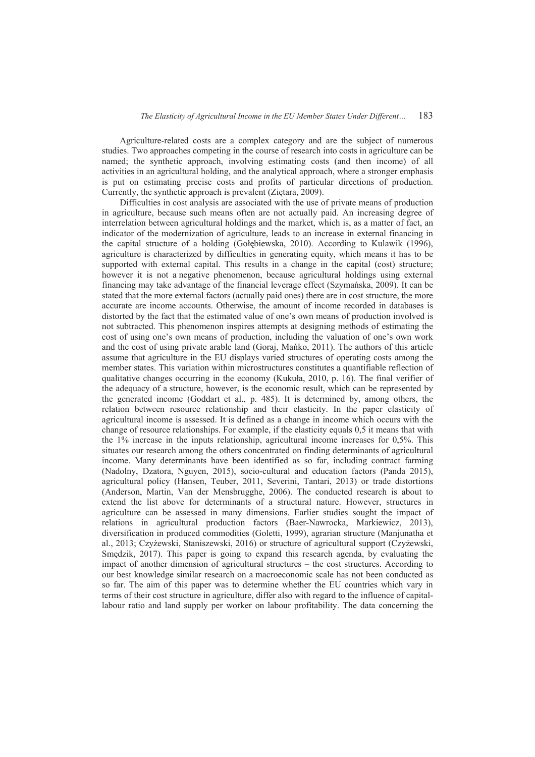Agriculture-related costs are a complex category and are the subject of numerous studies. Two approaches competing in the course of research into costs in agriculture can be named; the synthetic approach, involving estimating costs (and then income) of all activities in an agricultural holding, and the analytical approach, where a stronger emphasis is put on estimating precise costs and profits of particular directions of production. Currently, the synthetic approach is prevalent (Zietara, 2009).

Difficulties in cost analysis are associated with the use of private means of production in agriculture, because such means often are not actually paid. An increasing degree of interrelation between agricultural holdings and the market, which is, as a matter of fact, an indicator of the modernization of agriculture, leads to an increase in external financing in the capital structure of a holding (Gołębiewska, 2010). According to Kulawik (1996), agriculture is characterized by difficulties in generating equity, which means it has to be supported with external capital. This results in a change in the capital (cost) structure; however it is not a negative phenomenon, because agricultural holdings using external financing may take advantage of the financial leverage effect (Szymańska, 2009). It can be stated that the more external factors (actually paid ones) there are in cost structure, the more accurate are income accounts. Otherwise, the amount of income recorded in databases is distorted by the fact that the estimated value of one's own means of production involved is not subtracted. This phenomenon inspires attempts at designing methods of estimating the cost of using one's own means of production, including the valuation of one's own work and the cost of using private arable land (Goraj, Mańko, 2011). The authors of this article assume that agriculture in the EU displays varied structures of operating costs among the member states. This variation within microstructures constitutes a quantifiable reflection of qualitative changes occurring in the economy (Kukuáa, 2010, p. 16). The final verifier of the adequacy of a structure, however, is the economic result, which can be represented by the generated income (Goddart et al., p. 485). It is determined by, among others, the relation between resource relationship and their elasticity. In the paper elasticity of agricultural income is assessed. It is defined as a change in income which occurs with the change of resource relationships. For example, if the elasticity equals 0,5 it means that with the 1% increase in the inputs relationship, agricultural income increases for 0,5%. This situates our research among the others concentrated on finding determinants of agricultural income. Many determinants have been identified as so far, including contract farming (Nadolny, Dzatora, Nguyen, 2015), socio-cultural and education factors (Panda 2015), agricultural policy (Hansen, Teuber, 2011, Severini, Tantari, 2013) or trade distortions (Anderson, Martin, Van der Mensbrugghe, 2006). The conducted research is about to extend the list above for determinants of a structural nature. However, structures in agriculture can be assessed in many dimensions. Earlier studies sought the impact of relations in agricultural production factors (Baer-Nawrocka, Markiewicz, 2013), diversification in produced commodities (Goletti, 1999), agrarian structure (Manjunatha et al., 2013; Czyżewski, Staniszewski, 2016) or structure of agricultural support (Czyżewski, Smedzik, 2017). This paper is going to expand this research agenda, by evaluating the impact of another dimension of agricultural structures – the cost structures. According to our best knowledge similar research on a macroeconomic scale has not been conducted as so far. The aim of this paper was to determine whether the EU countries which vary in terms of their cost structure in agriculture, differ also with regard to the influence of capitallabour ratio and land supply per worker on labour profitability. The data concerning the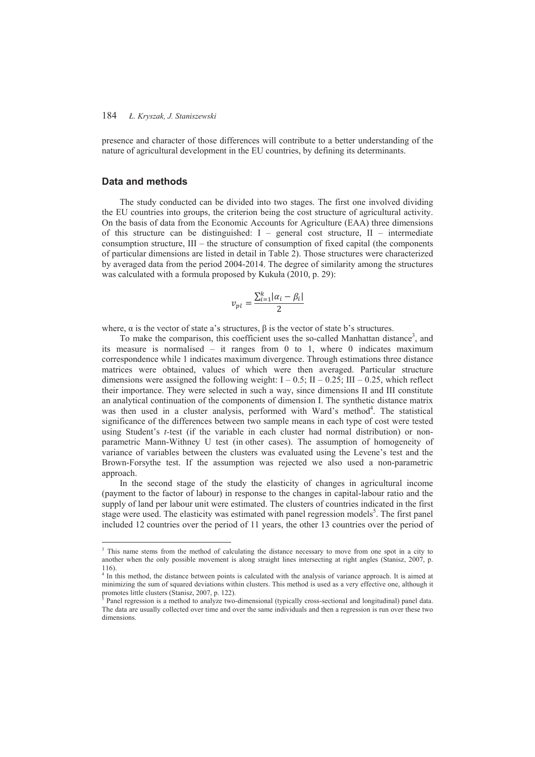presence and character of those differences will contribute to a better understanding of the nature of agricultural development in the EU countries, by defining its determinants.

# **Data and methods**

 $\overline{a}$ 

The study conducted can be divided into two stages. The first one involved dividing the EU countries into groups, the criterion being the cost structure of agricultural activity. On the basis of data from the Economic Accounts for Agriculture (EAA) three dimensions of this structure can be distinguished: I – general cost structure, II – intermediate consumption structure, III – the structure of consumption of fixed capital (the components of particular dimensions are listed in detail in Table 2). Those structures were characterized by averaged data from the period 2004-2014. The degree of similarity among the structures was calculated with a formula proposed by Kukuła (2010, p. 29):

$$
v_{pl} = \frac{\sum_{i=1}^{k} |\alpha_i - \beta_i|}{2}
$$

where,  $\alpha$  is the vector of state a's structures.  $\beta$  is the vector of state b's structures.

To make the comparison, this coefficient uses the so-called Manhattan distance<sup>3</sup>, and its measure is normalised – it ranges from 0 to 1, where 0 indicates maximum correspondence while 1 indicates maximum divergence. Through estimations three distance matrices were obtained, values of which were then averaged. Particular structure dimensions were assigned the following weight:  $I - 0.5$ ;  $II - 0.25$ ;  $III - 0.25$ , which reflect their importance. They were selected in such a way, since dimensions II and III constitute an analytical continuation of the components of dimension I. The synthetic distance matrix was then used in a cluster analysis, performed with Ward's method<sup>4</sup>. The statistical significance of the differences between two sample means in each type of cost were tested using Student's *t-*test (if the variable in each cluster had normal distribution) or nonparametric Mann-Withney U test (in other cases). The assumption of homogeneity of variance of variables between the clusters was evaluated using the Levene's test and the Brown-Forsythe test. If the assumption was rejected we also used a non-parametric approach.

In the second stage of the study the elasticity of changes in agricultural income (payment to the factor of labour) in response to the changes in capital-labour ratio and the supply of land per labour unit were estimated. The clusters of countries indicated in the first stage were used. The elasticity was estimated with panel regression models<sup>5</sup>. The first panel included 12 countries over the period of 11 years, the other 13 countries over the period of

<sup>&</sup>lt;sup>3</sup> This name stems from the method of calculating the distance necessary to move from one spot in a city to another when the only possible movement is along straight lines intersecting at right angles (Stanisz, 2007, p. 116).

<sup>&</sup>lt;sup>4</sup> In this method, the distance between points is calculated with the analysis of variance approach. It is aimed at minimizing the sum of squared deviations within clusters. This method is used as a very effective one, although it promotes little clusters (Stanisz, 2007, p. 122).<br><sup>5</sup> Panel regression is a method to analyze two

Panel regression is a method to analyze two-dimensional (typically cross-sectional and longitudinal) panel data. The data are usually collected over time and over the same individuals and then a regression is run over these two dimensions.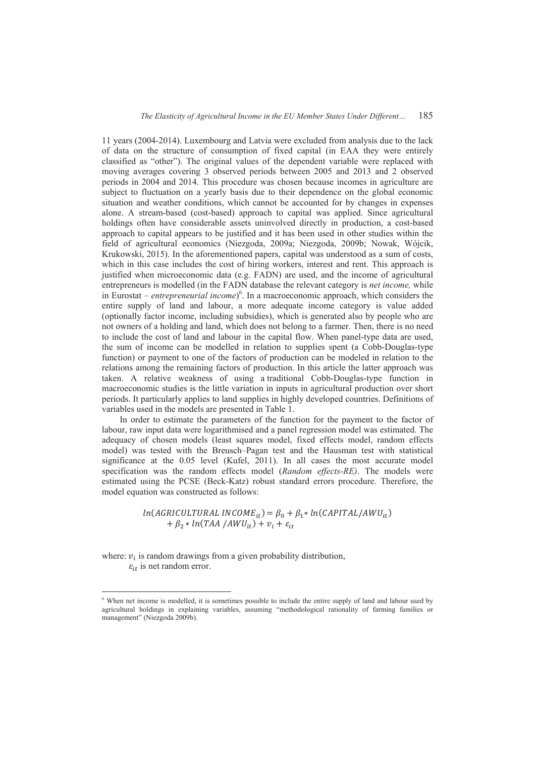11 years (2004-2014). Luxembourg and Latvia were excluded from analysis due to the lack of data on the structure of consumption of fixed capital (in EAA they were entirely classified as "other"). The original values of the dependent variable were replaced with moving averages covering 3 observed periods between 2005 and 2013 and 2 observed periods in 2004 and 2014. This procedure was chosen because incomes in agriculture are subject to fluctuation on a yearly basis due to their dependence on the global economic situation and weather conditions, which cannot be accounted for by changes in expenses alone. A stream-based (cost-based) approach to capital was applied. Since agricultural holdings often have considerable assets uninvolved directly in production, a cost-based approach to capital appears to be justified and it has been used in other studies within the field of agricultural economics (Niezgoda, 2009a; Niezgoda, 2009b; Nowak, Wójcik, Krukowski, 2015). In the aforementioned papers, capital was understood as a sum of costs, which in this case includes the cost of hiring workers, interest and rent. This approach is justified when microeconomic data (e.g. FADN) are used, and the income of agricultural entrepreneurs is modelled (in the FADN database the relevant category is *net income,* while in Eurostat – *entrepreneurial income*) 6 . In a macroeconomic approach, which considers the entire supply of land and labour, a more adequate income category is value added (optionally factor income, including subsidies), which is generated also by people who are not owners of a holding and land, which does not belong to a farmer. Then, there is no need to include the cost of land and labour in the capital flow. When panel-type data are used, the sum of income can be modelled in relation to supplies spent (a Cobb-Douglas-type function) or payment to one of the factors of production can be modeled in relation to the relations among the remaining factors of production. In this article the latter approach was taken. A relative weakness of using a traditional Cobb-Douglas-type function in macroeconomic studies is the little variation in inputs in agricultural production over short periods. It particularly applies to land supplies in highly developed countries. Definitions of variables used in the models are presented in Table 1.

In order to estimate the parameters of the function for the payment to the factor of labour, raw input data were logarithmised and a panel regression model was estimated. The adequacy of chosen models (least squares model, fixed effects model, random effects model) was tested with the Breusch–Pagan test and the Hausman test with statistical significance at the 0.05 level (Kufel, 2011). In all cases the most accurate model specification was the random effects model (*Random effects-RE)*. The models were estimated using the PCSE (Beck-Katz) robust standard errors procedure. Therefore, the model equation was constructed as follows:

> $ln(AGRICULTURAL INCOME_{it}) = \beta_0 + \beta_1 * ln(CAPITAL/AWU_{it})$  $+ \beta_2 * ln(TAA/AWU_{it}) + v_i + \varepsilon_{it}$

where:  $v_i$  is random drawings from a given probability distribution,  $\varepsilon_{it}$  is net random error.

 $\overline{a}$ 

<sup>&</sup>lt;sup>6</sup> When net income is modelled, it is sometimes possible to include the entire supply of land and labour used by agricultural holdings in explaining variables, assuming "methodological rationality of farming families or management" (Niezgoda 2009b).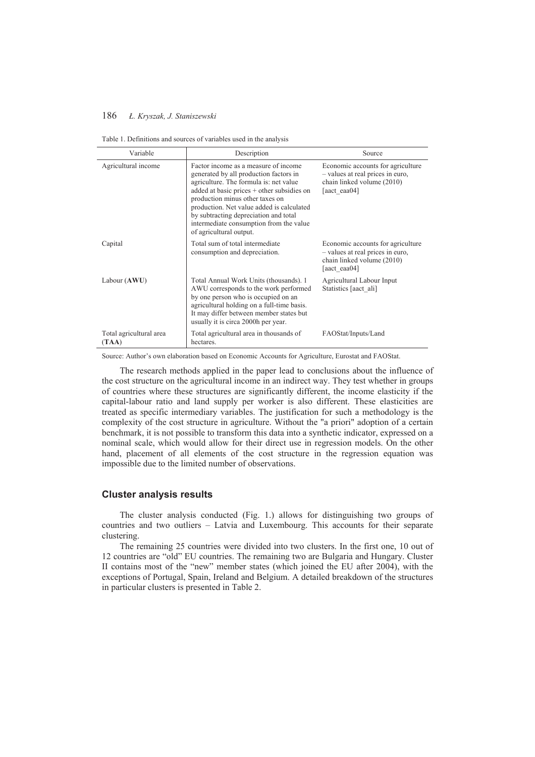| Table 1. Definitions and sources of variables used in the analysis |  |
|--------------------------------------------------------------------|--|
|--------------------------------------------------------------------|--|

| Variable                         | Description                                                                                                                                                                                                                                                                                                                                                           | Source                                                                                                              |
|----------------------------------|-----------------------------------------------------------------------------------------------------------------------------------------------------------------------------------------------------------------------------------------------------------------------------------------------------------------------------------------------------------------------|---------------------------------------------------------------------------------------------------------------------|
| Agricultural income              | Factor income as a measure of income<br>generated by all production factors in<br>agriculture. The formula is: net value<br>added at basic prices + other subsidies on<br>production minus other taxes on<br>production. Net value added is calculated<br>by subtracting depreciation and total<br>intermediate consumption from the value<br>of agricultural output. | Economic accounts for agriculture<br>- values at real prices in euro.<br>chain linked volume (2010)<br>[aact eaa04] |
| Capital                          | Total sum of total intermediate<br>consumption and depreciation.                                                                                                                                                                                                                                                                                                      | Economic accounts for agriculture<br>- values at real prices in euro.<br>chain linked volume (2010)<br>[aact eaa04] |
| Labour (AWU)                     | Total Annual Work Units (thousands). 1<br>AWU corresponds to the work performed<br>by one person who is occupied on an<br>agricultural holding on a full-time basis.<br>It may differ between member states but<br>usually it is circa 2000h per year.                                                                                                                | Agricultural Labour Input<br>Statistics [aact ali]                                                                  |
| Total agricultural area<br>(TAA) | Total agricultural area in thousands of<br>hectares.                                                                                                                                                                                                                                                                                                                  | FAOStat/Inputs/Land                                                                                                 |

Source: Author's own elaboration based on Economic Accounts for Agriculture, Eurostat and FAOStat.

The research methods applied in the paper lead to conclusions about the influence of the cost structure on the agricultural income in an indirect way. They test whether in groups of countries where these structures are significantly different, the income elasticity if the capital-labour ratio and land supply per worker is also different. These elasticities are treated as specific intermediary variables. The justification for such a methodology is the complexity of the cost structure in agriculture. Without the "a priori" adoption of a certain benchmark, it is not possible to transform this data into a synthetic indicator, expressed on a nominal scale, which would allow for their direct use in regression models. On the other hand, placement of all elements of the cost structure in the regression equation was impossible due to the limited number of observations.

### **Cluster analysis results**

The cluster analysis conducted (Fig. 1.) allows for distinguishing two groups of countries and two outliers – Latvia and Luxembourg. This accounts for their separate clustering.

The remaining 25 countries were divided into two clusters. In the first one, 10 out of 12 countries are "old" EU countries. The remaining two are Bulgaria and Hungary. Cluster II contains most of the "new" member states (which joined the EU after 2004), with the exceptions of Portugal, Spain, Ireland and Belgium. A detailed breakdown of the structures in particular clusters is presented in Table 2.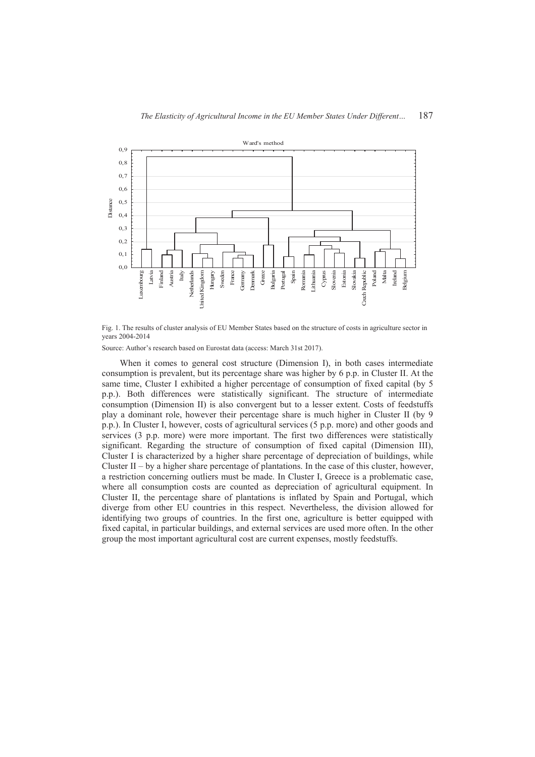

Fig. 1. The results of cluster analysis of EU Member States based on the structure of costs in agriculture sector in years 2004-2014

Source: Author's research based on Eurostat data (access: March 31st 2017).

When it comes to general cost structure (Dimension I), in both cases intermediate consumption is prevalent, but its percentage share was higher by 6 p.p. in Cluster II. At the same time, Cluster I exhibited a higher percentage of consumption of fixed capital (by 5 p.p.). Both differences were statistically significant. The structure of intermediate consumption (Dimension II) is also convergent but to a lesser extent. Costs of feedstuffs play a dominant role, however their percentage share is much higher in Cluster II (by 9 p.p.). In Cluster I, however, costs of agricultural services (5 p.p. more) and other goods and services (3 p.p. more) were more important. The first two differences were statistically significant. Regarding the structure of consumption of fixed capital (Dimension III), Cluster I is characterized by a higher share percentage of depreciation of buildings, while Cluster II – by a higher share percentage of plantations. In the case of this cluster, however, a restriction concerning outliers must be made. In Cluster I, Greece is a problematic case, where all consumption costs are counted as depreciation of agricultural equipment. In Cluster II, the percentage share of plantations is inflated by Spain and Portugal, which diverge from other EU countries in this respect. Nevertheless, the division allowed for identifying two groups of countries. In the first one, agriculture is better equipped with fixed capital, in particular buildings, and external services are used more often. In the other group the most important agricultural cost are current expenses, mostly feedstuffs.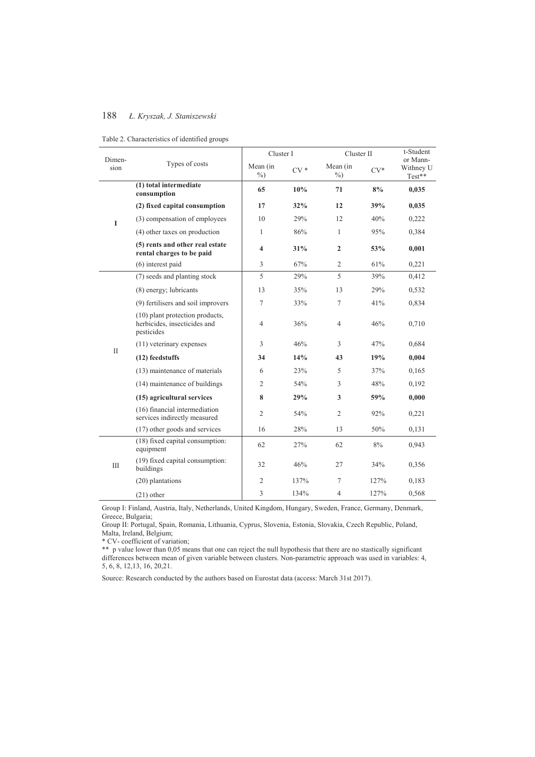| Table 2. Characteristics of identified groups |  |
|-----------------------------------------------|--|
|-----------------------------------------------|--|

|                | Types of costs                                                                | Cluster I               |       |                         | Cluster II |                                 |
|----------------|-------------------------------------------------------------------------------|-------------------------|-------|-------------------------|------------|---------------------------------|
| Dimen-<br>sion |                                                                               | Mean (in<br>$\%$        | $CV*$ | Mean (in<br>$\%$ )      | $CV*$      | or Mann-<br>Withney U<br>Test** |
|                | (1) total intermediate<br>consumption                                         | 65                      | 10%   | 71                      | 8%         | 0,035                           |
|                | (2) fixed capital consumption                                                 | 17                      | 32%   | 12                      | 39%        | 0,035                           |
| L              | (3) compensation of employees                                                 | 10                      | 29%   | 12                      | 40%        | 0,222                           |
|                | (4) other taxes on production                                                 | 1                       | 86%   | 1                       | 95%        | 0,384                           |
|                | (5) rents and other real estate<br>rental charges to be paid                  | $\overline{\mathbf{4}}$ | 31%   | $\mathbf{2}$            | 53%        | 0,001                           |
|                | $(6)$ interest paid                                                           | 3                       | 67%   | $\overline{2}$          | 61%        | 0,221                           |
|                | (7) seeds and planting stock                                                  | 5                       | 29%   | 5                       | 39%        | 0,412                           |
|                | (8) energy; lubricants                                                        | 13                      | 35%   | 13                      | 29%        | 0,532                           |
|                | (9) fertilisers and soil improvers                                            | 7                       | 33%   | $\overline{7}$          | 41%        | 0,834                           |
|                | (10) plant protection products,<br>herbicides, insecticides and<br>pesticides | $\overline{4}$          | 36%   | $\overline{4}$          | 46%        | 0,710                           |
|                | $(11)$ veterinary expenses                                                    | 3                       | 46%   | 3                       | 47%        | 0,684                           |
|                | (12) feedstuffs                                                               | 34                      | 14%   | 43                      | 19%        | 0,004                           |
| $\mathbf{I}$   | (13) maintenance of materials                                                 | 6                       | 23%   | 5                       | 37%        | 0,165                           |
|                | (14) maintenance of buildings                                                 | $\mathfrak{2}$          | 54%   | 3                       | 48%        | 0,192                           |
|                | (15) agricultural services                                                    | 8                       | 29%   | $\overline{\mathbf{3}}$ | 59%        | 0,000                           |
|                | (16) financial intermediation<br>services indirectly measured                 | $\mathfrak{2}$          | 54%   | $\overline{2}$          | 92%        | 0,221                           |
|                | (17) other goods and services                                                 | 16                      | 28%   | 13                      | 50%        | 0,131                           |
|                | (18) fixed capital consumption:<br>equipment                                  | 62                      | 27%   | 62                      | 8%         | 0,943                           |
| III            | (19) fixed capital consumption:<br>buildings                                  | 32                      | 46%   | 27                      | 34%        | 0,356                           |
|                | (20) plantations                                                              | $\mathfrak{2}$          | 137%  | 7                       | 127%       | 0,183                           |
|                | $(21)$ other                                                                  | 3                       | 134%  | $\overline{4}$          | 127%       | 0,568                           |

Group I: Finland, Austria, Italy, Netherlands, United Kingdom, Hungary, Sweden, France, Germany, Denmark, Greece, Bulgaria;

Group II: Portugal, Spain, Romania, Lithuania, Cyprus, Slovenia, Estonia, Slovakia, Czech Republic, Poland, Malta, Ireland, Belgium;

\* CV- coefficient of variation;

\*\* p value lower than 0,05 means that one can reject the null hypothesis that there are no stastically significant differences between mean of given variable between clusters. Non-parametric approach was used in variables: 4, 5, 6, 8, 12,13, 16, 20,21.

Source: Research conducted by the authors based on Eurostat data (access: March 31st 2017).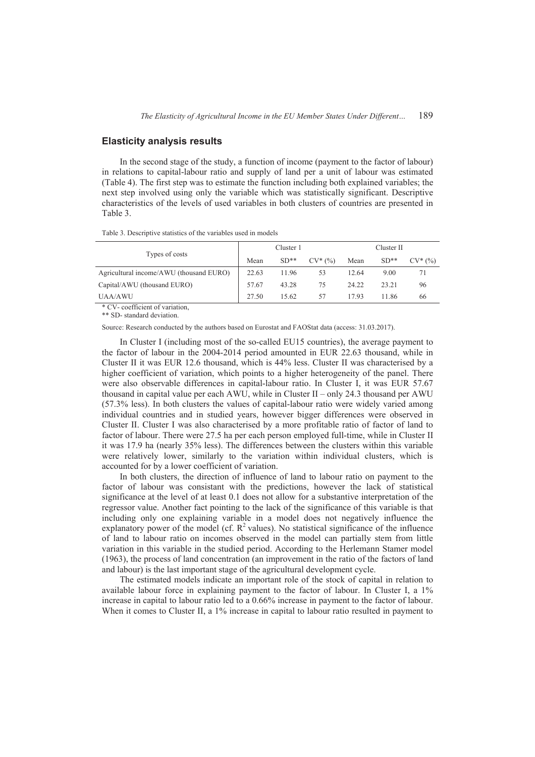### **Elasticity analysis results**

In the second stage of the study, a function of income (payment to the factor of labour) in relations to capital-labour ratio and supply of land per a unit of labour was estimated (Table 4). The first step was to estimate the function including both explained variables; the next step involved using only the variable which was statistically significant. Descriptive characteristics of the levels of used variables in both clusters of countries are presented in Table 3.

Table 3. Descriptive statistics of the variables used in models

|                                         | Cluster 1 |        |            | Cluster II |        |            |
|-----------------------------------------|-----------|--------|------------|------------|--------|------------|
| Types of costs                          | Mean      | $SD**$ | $CV^*(\%)$ | Mean       | $SD**$ | $CV^*(\%)$ |
| Agricultural income/AWU (thousand EURO) | 22.63     | 11.96  | 53         | 12.64      | 9.00   |            |
| Capital/AWU (thousand EURO)             | 57.67     | 43.28  | 75         | 24.22      | 23.21  | 96         |
| <b>UAA/AWU</b>                          | 27.50     | 15.62  | 57         | 17.93      | 11.86  | 66         |

\* CV- coefficient of variation,

\*\* SD- standard deviation.

Source: Research conducted by the authors based on Eurostat and FAOStat data (access: 31.03.2017).

In Cluster I (including most of the so-called EU15 countries), the average payment to the factor of labour in the 2004-2014 period amounted in EUR 22.63 thousand, while in Cluster II it was EUR 12.6 thousand, which is 44% less. Cluster II was characterised by a higher coefficient of variation, which points to a higher heterogeneity of the panel. There were also observable differences in capital-labour ratio. In Cluster I, it was EUR 57.67 thousand in capital value per each AWU, while in Cluster II – only 24.3 thousand per AWU (57.3% less). In both clusters the values of capital-labour ratio were widely varied among individual countries and in studied years, however bigger differences were observed in Cluster II. Cluster I was also characterised by a more profitable ratio of factor of land to factor of labour. There were 27.5 ha per each person employed full-time, while in Cluster II it was 17.9 ha (nearly 35% less). The differences between the clusters within this variable were relatively lower, similarly to the variation within individual clusters, which is accounted for by a lower coefficient of variation.

In both clusters, the direction of influence of land to labour ratio on payment to the factor of labour was consistant with the predictions, however the lack of statistical significance at the level of at least 0.1 does not allow for a substantive interpretation of the regressor value. Another fact pointing to the lack of the significance of this variable is that including only one explaining variable in a model does not negatively influence the explanatory power of the model (cf.  $R^2$  values). No statistical significance of the influence of land to labour ratio on incomes observed in the model can partially stem from little variation in this variable in the studied period. According to the Herlemann Stamer model (1963), the process of land concentration (an improvement in the ratio of the factors of land and labour) is the last important stage of the agricultural development cycle.

The estimated models indicate an important role of the stock of capital in relation to available labour force in explaining payment to the factor of labour. In Cluster I, a 1% increase in capital to labour ratio led to a 0.66% increase in payment to the factor of labour. When it comes to Cluster II, a  $1\%$  increase in capital to labour ratio resulted in payment to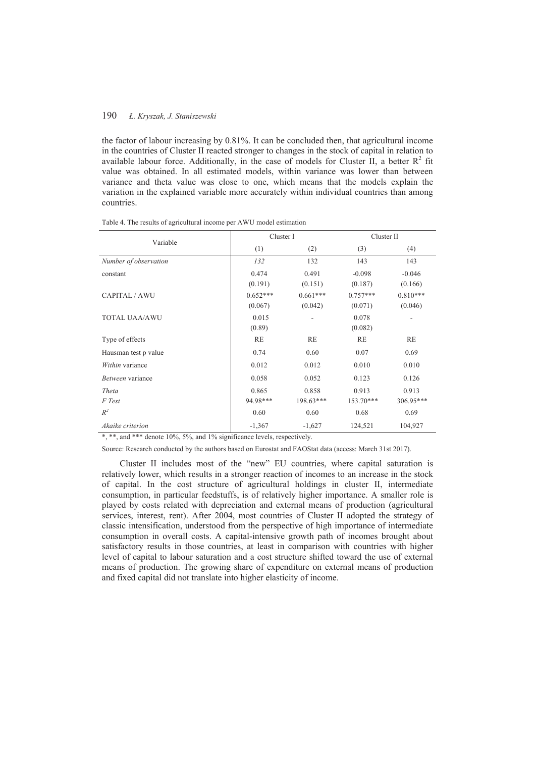the factor of labour increasing by 0.81%. It can be concluded then, that agricultural income in the countries of Cluster II reacted stronger to changes in the stock of capital in relation to available labour force. Additionally, in the case of models for Cluster II, a better  $R^2$  fit value was obtained. In all estimated models, within variance was lower than between variance and theta value was close to one, which means that the models explain the variation in the explained variable more accurately within individual countries than among countries.

| Variable              | Cluster I  |             | Cluster II  |            |  |
|-----------------------|------------|-------------|-------------|------------|--|
|                       | (1)        | (2)         | (3)         | (4)        |  |
| Number of observation | 132        | 132         | 143         | 143        |  |
| constant              | 0.474      | 0.491       | $-0.098$    | $-0.046$   |  |
|                       | (0.191)    | (0.151)     | (0.187)     | (0.166)    |  |
| CAPITAL / AWU         | $0.652***$ | $0.661***$  | $0.757***$  | $0.810***$ |  |
|                       | (0.067)    | (0.042)     | (0.071)     | (0.046)    |  |
| <b>TOTAL UAA/AWU</b>  | 0.015      |             | 0.078       |            |  |
|                       | (0.89)     |             | (0.082)     |            |  |
| Type of effects       | <b>RE</b>  | <b>RE</b>   | <b>RE</b>   | <b>RE</b>  |  |
| Hausman test p value  | 0.74       | 0.60        | 0.07        | 0.69       |  |
| Within variance       | 0.012      | 0.012       | 0.010       | 0.010      |  |
| Between variance      | 0.058      | 0.052       | 0.123       | 0.126      |  |
| Theta                 | 0.865      | 0.858       | 0.913       | 0.913      |  |
| F Test                | 94.98***   | $198.63***$ | $153.70***$ | 306.95***  |  |
| $R^2$                 | 0.60       | 0.60        | 0.68        | 0.69       |  |
| Akaike criterion      | $-1,367$   | $-1,627$    | 124,521     | 104,927    |  |

Table 4. The results of agricultural income per AWU model estimation

 $*$ ,  $*$ <sup>\*</sup>, and  $*$ <sup>\*\*</sup> denote 10%, 5%, and 1% significance levels, respectively.

Source: Research conducted by the authors based on Eurostat and FAOStat data (access: March 31st 2017).

Cluster II includes most of the "new" EU countries, where capital saturation is relatively lower, which results in a stronger reaction of incomes to an increase in the stock of capital. In the cost structure of agricultural holdings in cluster II, intermediate consumption, in particular feedstuffs, is of relatively higher importance. A smaller role is played by costs related with depreciation and external means of production (agricultural services, interest, rent). After 2004, most countries of Cluster II adopted the strategy of classic intensification, understood from the perspective of high importance of intermediate consumption in overall costs. A capital-intensive growth path of incomes brought about satisfactory results in those countries, at least in comparison with countries with higher level of capital to labour saturation and a cost structure shifted toward the use of external means of production. The growing share of expenditure on external means of production and fixed capital did not translate into higher elasticity of income.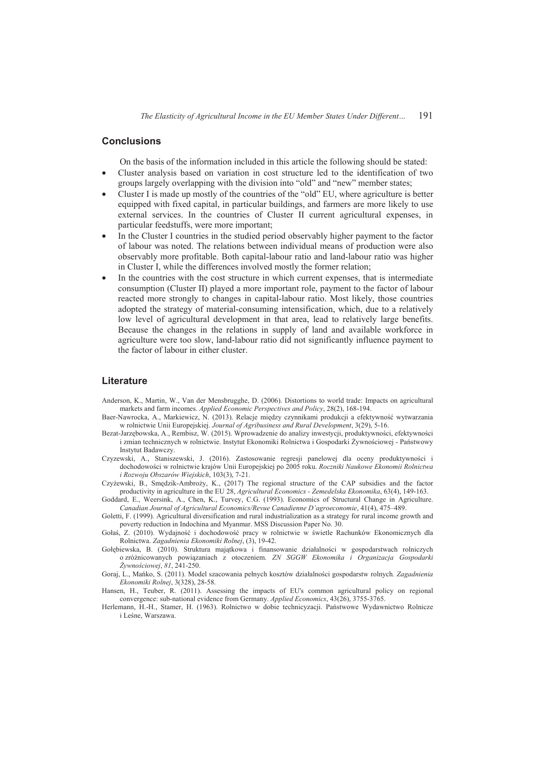### **Conclusions**

On the basis of the information included in this article the following should be stated:

- x Cluster analysis based on variation in cost structure led to the identification of two groups largely overlapping with the division into "old" and "new" member states;
- x Cluster I is made up mostly of the countries of the "old" EU, where agriculture is better equipped with fixed capital, in particular buildings, and farmers are more likely to use external services. In the countries of Cluster II current agricultural expenses, in particular feedstuffs, were more important;
- In the Cluster I countries in the studied period observably higher payment to the factor of labour was noted. The relations between individual means of production were also observably more profitable. Both capital-labour ratio and land-labour ratio was higher in Cluster I, while the differences involved mostly the former relation;
- In the countries with the cost structure in which current expenses, that is intermediate consumption (Cluster II) played a more important role, payment to the factor of labour reacted more strongly to changes in capital-labour ratio. Most likely, those countries adopted the strategy of material-consuming intensification, which, due to a relatively low level of agricultural development in that area, lead to relatively large benefits. Because the changes in the relations in supply of land and available workforce in agriculture were too slow, land-labour ratio did not significantly influence payment to the factor of labour in either cluster.

# **Literature**

- Anderson, K., Martin, W., Van der Mensbrugghe, D. (2006). Distortions to world trade: Impacts on agricultural markets and farm incomes. *Applied Economic Perspectives and Policy*, 28(2), 168-194.
- Baer-Nawrocka, A., Markiewicz, N. (2013). Relacje między czynnikami produkcji a efektywność wytwarzania w rolnictwie Unii Europejskiej. *Journal of Agribusiness and Rural Development*, 3(29), 5-16.
- Bezat-Jarzębowska, A., Rembisz, W. (2015). Wprowadzenie do analizy inwestycji, produktywności, efektywności i zmian technicznych w rolnictwie. Instytut Ekonomiki Rolnictwa i Gospodarki Żywnościowej - Państwowy Instytut Badawczy.
- Czyzewski, A., Staniszewski, J. (2016). Zastosowanie regresji panelowej dla oceny produktywnoĞci i dochodowoĞci w rolnictwie krajów Unii Europejskiej po 2005 roku. *Roczniki Naukowe Ekonomii Rolnictwa i Rozwoju Obszarów Wiejskich*, 103(3), 7-21.
- Czyżewski, B., Smędzik-Ambroży, K., (2017) The regional structure of the CAP subsidies and the factor productivity in agriculture in the EU 28, *Agricultural Economics - Zemedelska Ekonomika*, 63(4), 149-163.
- Goddard, E., Weersink, A., Chen, K., Turvey, C.G. (1993). Economics of Structural Change in Agriculture. *Canadian Journal of Agricultural Economics/Revue Canadienne D'agroeconomie*, 41(4), 475–489.
- Goletti, F. (1999). Agricultural diversification and rural industrialization as a strategy for rural income growth and poverty reduction in Indochina and Myanmar. MSS Discussion Paper No. 30.
- Gołaś, Z. (2010). Wydajność i dochodowość pracy w rolnictwie w świetle Rachunków Ekonomicznych dla Rolnictwa. *Zagadnienia Ekonomiki Rolnej*, (3), 19-42.
- Gołębiewska, B. (2010). Struktura majątkowa i finansowanie działalności w gospodarstwach rolniczych o zróĪnicowanych powiązaniach z otoczeniem. *ZN SGGW Ekonomika i Organizacja Gospodarki ĩywnoĞciowej*, *81*, 241-250.
- Goraj, L., Mańko, S. (2011). Model szacowania pełnych kosztów działalności gospodarstw rolnych. Zagadnienia *Ekonomiki Rolnej*, 3(328), 28-58.
- Hansen, H., Teuber, R. (2011). Assessing the impacts of EU's common agricultural policy on regional convergence: sub-national evidence from Germany. *Applied Economics*, 43(26), 3755-3765.
- Herlemann, H.-H., Stamer, H. (1963). Rolnictwo w dobie technicyzacji. Państwowe Wydawnictwo Rolnicze i LeĞne, Warszawa.